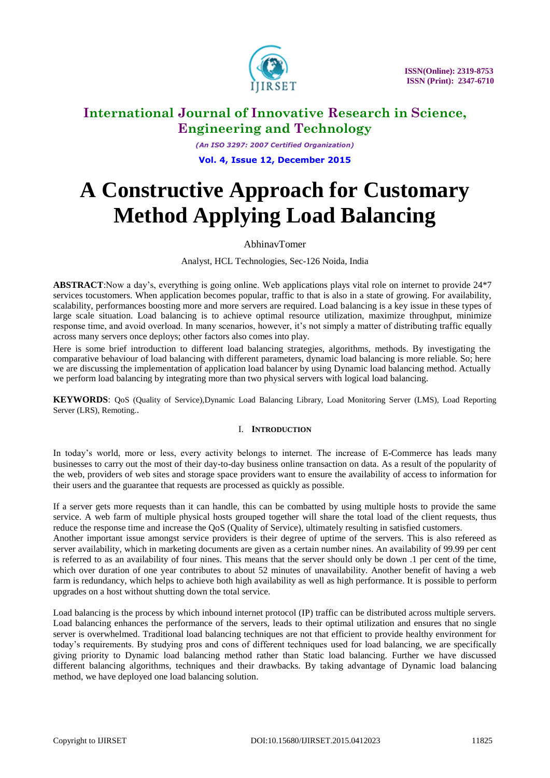

*(An ISO 3297: 2007 Certified Organization)* **Vol. 4, Issue 12, December 2015**

# **A Constructive Approach for Customary Method Applying Load Balancing**

## AbhinavTomer

Analyst, HCL Technologies, Sec-126 Noida, India

**ABSTRACT**:Now a day's, everything is going online. Web applications plays vital role on internet to provide 24\*7 services tocustomers. When application becomes popular, traffic to that is also in a state of growing. For availability, scalability, performances boosting more and more servers are required. Load balancing is a key issue in these types of large scale situation. Load balancing is to achieve optimal resource utilization, maximize throughput, minimize response time, and avoid overload. In many scenarios, however, it's not simply a matter of distributing traffic equally across many servers once deploys; other factors also comes into play.

Here is some brief introduction to different load balancing strategies, algorithms, methods. By investigating the comparative behaviour of load balancing with different parameters, dynamic load balancing is more reliable. So; here we are discussing the implementation of application load balancer by using Dynamic load balancing method. Actually we perform load balancing by integrating more than two physical servers with logical load balancing.

**KEYWORDS**: QoS (Quality of Service),Dynamic Load Balancing Library, Load Monitoring Server (LMS), Load Reporting Server (LRS), Remoting..

## I. **INTRODUCTION**

In today's world, more or less, every activity belongs to internet. The increase of E-Commerce has leads many businesses to carry out the most of their day-to-day business online transaction on data. As a result of the popularity of the web, providers of web sites and storage space providers want to ensure the availability of access to information for their users and the guarantee that requests are processed as quickly as possible.

If a server gets more requests than it can handle, this can be combatted by using multiple hosts to provide the same service. A web farm of multiple physical hosts grouped together will share the total load of the client requests, thus reduce the response time and increase the QoS (Quality of Service), ultimately resulting in satisfied customers.

Another important issue amongst service providers is their degree of uptime of the servers. This is also refereed as server availability, which in marketing documents are given as a certain number nines. An availability of 99.99 per cent is referred to as an availability of four nines. This means that the server should only be down .1 per cent of the time, which over duration of one year contributes to about 52 minutes of unavailability. Another benefit of having a web farm is redundancy, which helps to achieve both high availability as well as high performance. It is possible to perform upgrades on a host without shutting down the total service.

Load balancing is the process by which inbound internet protocol (IP) traffic can be distributed across multiple servers. Load balancing enhances the performance of the servers, leads to their optimal utilization and ensures that no single server is overwhelmed. Traditional load balancing techniques are not that efficient to provide healthy environment for today's requirements. By studying pros and cons of different techniques used for load balancing, we are specifically giving priority to Dynamic load balancing method rather than Static load balancing. Further we have discussed different balancing algorithms, techniques and their drawbacks. By taking advantage of Dynamic load balancing method, we have deployed one load balancing solution.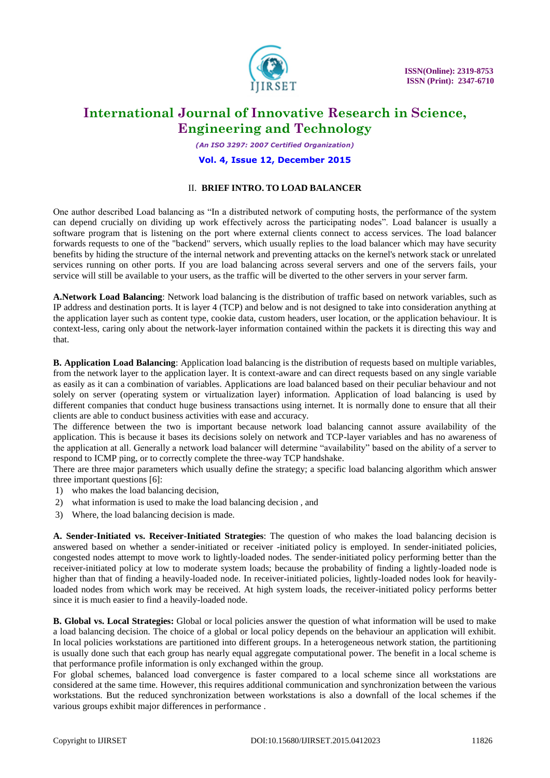

*(An ISO 3297: 2007 Certified Organization)*

#### **Vol. 4, Issue 12, December 2015**

#### II. **BRIEF INTRO. TO LOAD BALANCER**

One author described Load balancing as "In a distributed network of computing hosts, the performance of the system can depend crucially on dividing up work effectively across the participating nodes". Load balancer is usually a software program that is listening on the port where external clients connect to access services. The load balancer forwards requests to one of the "backend" servers, which usually replies to the load balancer which may have security benefits by hiding the structure of the internal network and preventing attacks on the kernel's network stack or unrelated services running on other ports. If you are load balancing across several servers and one of the servers fails, your service will still be available to your users, as the traffic will be diverted to the other servers in your server farm.

**A.Network Load Balancing**: Network load balancing is the distribution of traffic based on network variables, such as IP address and destination ports. It is layer 4 (TCP) and below and is not designed to take into consideration anything at the application layer such as content type, cookie data, custom headers, user location, or the application behaviour. It is context-less, caring only about the network-layer information contained within the packets it is directing this way and that.

**B. Application Load Balancing**: Application load balancing is the distribution of requests based on multiple variables, from the network layer to the application layer. It is context-aware and can direct requests based on any single variable as easily as it can a combination of variables. Applications are load balanced based on their peculiar behaviour and not solely on server (operating system or virtualization layer) information. Application of load balancing is used by different companies that conduct huge business transactions using internet. It is normally done to ensure that all their clients are able to conduct business activities with ease and accuracy.

The difference between the two is important because network load balancing cannot assure availability of the application. This is because it bases its decisions solely on network and TCP-layer variables and has no awareness of the application at all. Generally a network load balancer will determine "availability" based on the ability of a server to respond to ICMP ping, or to correctly complete the three-way TCP handshake.

There are three major parameters which usually define the strategy; a specific load balancing algorithm which answer three important questions [6]:

- 1) who makes the load balancing decision,
- 2) what information is used to make the load balancing decision , and
- 3) Where, the load balancing decision is made.

**A. Sender-Initiated vs. Receiver-Initiated Strategies**: The question of who makes the load balancing decision is answered based on whether a sender-initiated or receiver -initiated policy is employed. In sender-initiated policies, congested nodes attempt to move work to lightly-loaded nodes. The sender-initiated policy performing better than the receiver-initiated policy at low to moderate system loads; because the probability of finding a lightly-loaded node is higher than that of finding a heavily-loaded node. In receiver-initiated policies, lightly-loaded nodes look for heavilyloaded nodes from which work may be received. At high system loads, the receiver-initiated policy performs better since it is much easier to find a heavily-loaded node.

**B. Global vs. Local Strategies:** Global or local policies answer the question of what information will be used to make a load balancing decision. The choice of a global or local policy depends on the behaviour an application will exhibit. In local policies workstations are partitioned into different groups. In a heterogeneous network station, the partitioning is usually done such that each group has nearly equal aggregate computational power. The benefit in a local scheme is that performance profile information is only exchanged within the group.

For global schemes, balanced load convergence is faster compared to a local scheme since all workstations are considered at the same time. However, this requires additional communication and synchronization between the various workstations. But the reduced synchronization between workstations is also a downfall of the local schemes if the various groups exhibit major differences in performance .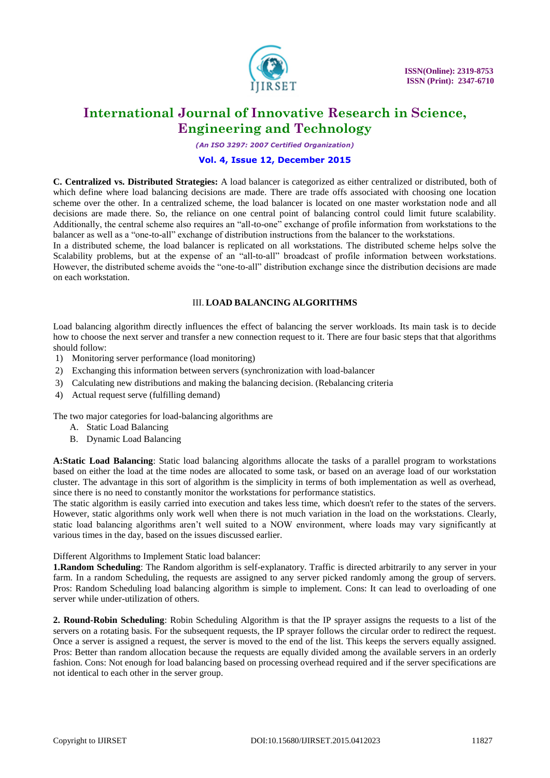

*(An ISO 3297: 2007 Certified Organization)*

#### **Vol. 4, Issue 12, December 2015**

**C. Centralized vs. Distributed Strategies:** A load balancer is categorized as either centralized or distributed, both of which define where load balancing decisions are made. There are trade offs associated with choosing one location scheme over the other. In a centralized scheme, the load balancer is located on one master workstation node and all decisions are made there. So, the reliance on one central point of balancing control could limit future scalability. Additionally, the central scheme also requires an "all-to-one" exchange of profile information from workstations to the balancer as well as a "one-to-all" exchange of distribution instructions from the balancer to the workstations.

In a distributed scheme, the load balancer is replicated on all workstations. The distributed scheme helps solve the Scalability problems, but at the expense of an "all-to-all" broadcast of profile information between workstations. However, the distributed scheme avoids the "one-to-all" distribution exchange since the distribution decisions are made on each workstation.

## III. **LOAD BALANCING ALGORITHMS**

Load balancing algorithm directly influences the effect of balancing the server workloads. Its main task is to decide how to choose the next server and transfer a new connection request to it. There are four basic steps that that algorithms should follow:

- 1) Monitoring server performance (load monitoring)
- 2) Exchanging this information between servers (synchronization with load-balancer
- 3) Calculating new distributions and making the balancing decision. (Rebalancing criteria
- 4) Actual request serve (fulfilling demand)

The two major categories for load-balancing algorithms are

- A. Static Load Balancing
- B. Dynamic Load Balancing

**A:Static Load Balancing**: Static load balancing algorithms allocate the tasks of a parallel program to workstations based on either the load at the time nodes are allocated to some task, or based on an average load of our workstation cluster. The advantage in this sort of algorithm is the simplicity in terms of both implementation as well as overhead, since there is no need to constantly monitor the workstations for performance statistics.

The static algorithm is easily carried into execution and takes less time, which doesn't refer to the states of the servers. However, static algorithms only work well when there is not much variation in the load on the workstations. Clearly, static load balancing algorithms aren't well suited to a NOW environment, where loads may vary significantly at various times in the day, based on the issues discussed earlier.

Different Algorithms to Implement Static load balancer:

**1.Random Scheduling**: The Random algorithm is self-explanatory. Traffic is directed arbitrarily to any server in your farm. In a random Scheduling, the requests are assigned to any server picked randomly among the group of servers. Pros: Random Scheduling load balancing algorithm is simple to implement. Cons: It can lead to overloading of one server while under-utilization of others.

**2. Round-Robin Scheduling**: Robin Scheduling Algorithm is that the IP sprayer assigns the requests to a list of the servers on a rotating basis. For the subsequent requests, the IP sprayer follows the circular order to redirect the request. Once a server is assigned a request, the server is moved to the end of the list. This keeps the servers equally assigned. Pros: Better than random allocation because the requests are equally divided among the available servers in an orderly fashion. Cons: Not enough for load balancing based on processing overhead required and if the server specifications are not identical to each other in the server group.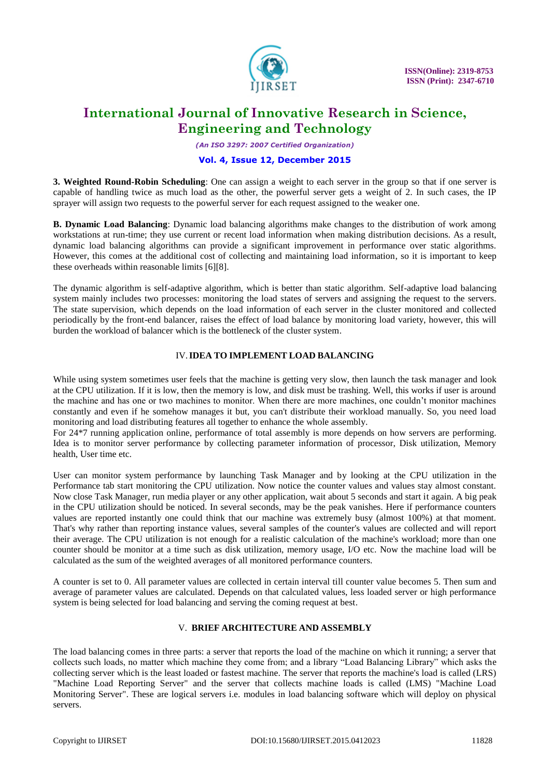

*(An ISO 3297: 2007 Certified Organization)*

#### **Vol. 4, Issue 12, December 2015**

**3. Weighted Round-Robin Scheduling**: One can assign a weight to each server in the group so that if one server is capable of handling twice as much load as the other, the powerful server gets a weight of 2. In such cases, the IP sprayer will assign two requests to the powerful server for each request assigned to the weaker one.

**B. Dynamic Load Balancing**: Dynamic load balancing algorithms make changes to the distribution of work among workstations at run-time; they use current or recent load information when making distribution decisions. As a result, dynamic load balancing algorithms can provide a significant improvement in performance over static algorithms. However, this comes at the additional cost of collecting and maintaining load information, so it is important to keep these overheads within reasonable limits [6][8].

The dynamic algorithm is self-adaptive algorithm, which is better than static algorithm. Self-adaptive load balancing system mainly includes two processes: monitoring the load states of servers and assigning the request to the servers. The state supervision, which depends on the load information of each server in the cluster monitored and collected periodically by the front-end balancer, raises the effect of load balance by monitoring load variety, however, this will burden the workload of balancer which is the bottleneck of the cluster system.

#### IV.**IDEA TO IMPLEMENT LOAD BALANCING**

While using system sometimes user feels that the machine is getting very slow, then launch the task manager and look at the CPU utilization. If it is low, then the memory is low, and disk must be trashing. Well, this works if user is around the machine and has one or two machines to monitor. When there are more machines, one couldn't monitor machines constantly and even if he somehow manages it but, you can't distribute their workload manually. So, you need load monitoring and load distributing features all together to enhance the whole assembly.

For 24\*7 running application online, performance of total assembly is more depends on how servers are performing. Idea is to monitor server performance by collecting parameter information of processor, Disk utilization, Memory health, User time etc.

User can monitor system performance by launching Task Manager and by looking at the CPU utilization in the Performance tab start monitoring the CPU utilization. Now notice the counter values and values stay almost constant. Now close Task Manager, run media player or any other application, wait about 5 seconds and start it again. A big peak in the CPU utilization should be noticed. In several seconds, may be the peak vanishes. Here if performance counters values are reported instantly one could think that our machine was extremely busy (almost 100%) at that moment. That's why rather than reporting instance values, several samples of the counter's values are collected and will report their average. The CPU utilization is not enough for a realistic calculation of the machine's workload; more than one counter should be monitor at a time such as disk utilization, memory usage, I/O etc. Now the machine load will be calculated as the sum of the weighted averages of all monitored performance counters.

A counter is set to 0. All parameter values are collected in certain interval till counter value becomes 5. Then sum and average of parameter values are calculated. Depends on that calculated values, less loaded server or high performance system is being selected for load balancing and serving the coming request at best.

## V. **BRIEF ARCHITECTURE AND ASSEMBLY**

The load balancing comes in three parts: a server that reports the load of the machine on which it running; a server that collects such loads, no matter which machine they come from; and a library "Load Balancing Library" which asks the collecting server which is the least loaded or fastest machine. The server that reports the machine's load is called (LRS) "Machine Load Reporting Server" and the server that collects machine loads is called (LMS) "Machine Load Monitoring Server". These are logical servers i.e. modules in load balancing software which will deploy on physical servers.